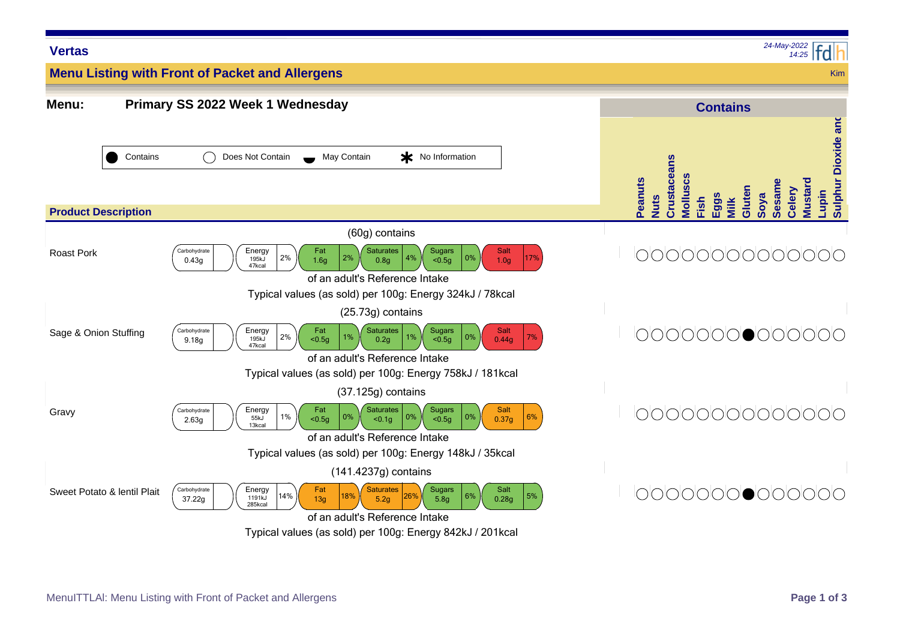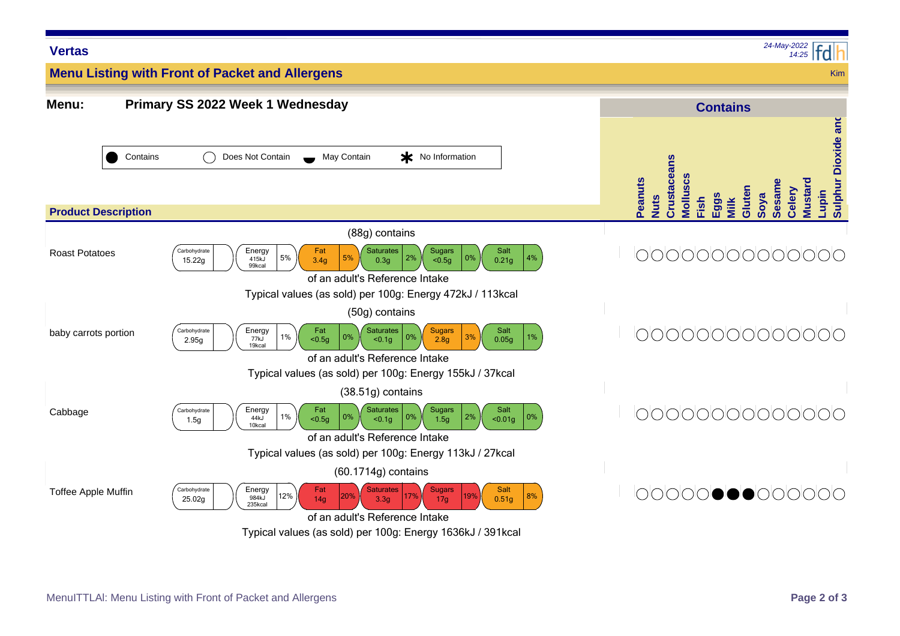